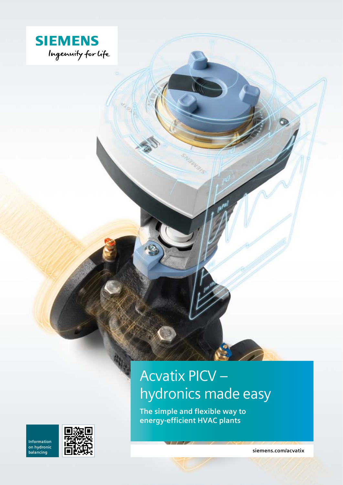

### **Acvatix PICV** hydronics made easy

The simple and flexible way to energy-efficient HVAC plants

Information on hydronic balancing



siemens.com/acvatix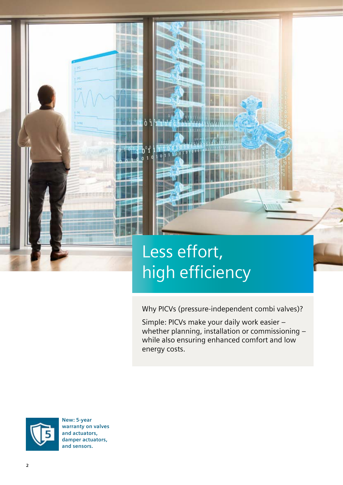## Less effort, high efficiency

O

D

Why PICVs (pressure-independent combi valves)?

Simple: PICVs make your daily work easier – whether planning, installation or commissioning – while also ensuring enhanced comfort and low energy costs.



**New: 5-year warranty on valves and actuators, damper actuators, and sensors.**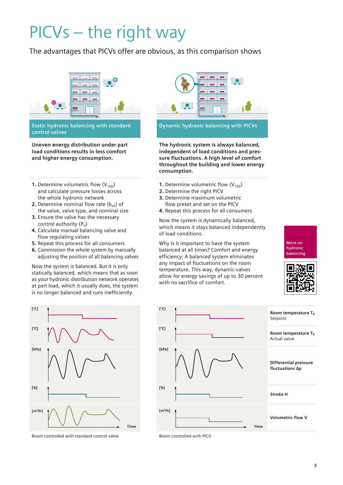## PICVs – the right way

The advantages that PICVs offer are obvious, as this comparison shows



**Static hydronic balancing with standard control valves**

**Uneven energy distribution under part load conditions results in less comfort and higher energy consumption.**

- **1.** Determine volumetric flow  $(V_{100})$ and calculate pressure losses across the whole hydronic network
- **2.** Determine nominal flow rate  $(k_{VS})$  of the valve, valve type, and nominal size
- **3.** Ensure the valve has the necessary control authority  $(P_v)$
- **4.** Calculate manual balancing valve and flow regulating valves
- **5.** Repeat this process for all consumers
- **6.** Commission the whole system by manually adjusting the position of all balancing valves

Now the system is balanced. But it is only statically balanced, which means that as soon as your hydronic distribution network operates at part load, which it usually does, the system is no longer balanced and runs inefficiently.



Room controlled with standard control valve Room controlled with PICV



**The hydronic system is always balanced, independent of load conditions and pressure fluctuations. A high level of comfort throughout the building and lower energy consumption.**

- **1.** Determine volumetric flow  $(V_{100})$
- **2.** Determine the right PICV
- **3.** Determine maximum volumetric
- flow preset and set on the PICV

**4.** Repeat this process for all consumers

Now the system is dynamically balanced, which means it stays balanced independently of load conditions.

Why is it important to have the system balanced at all times? Comfort and energy efficiency: A balanced system eliminates any impact of fluctuations on the room temperature. This way, dynamic valves allow for energy savings of up to 30 percent with no sacrifice of comfort.

**More on hydronic balancing**



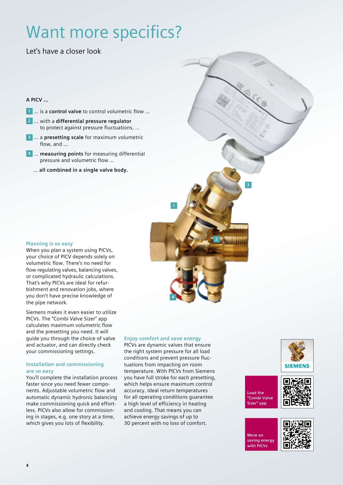## Want more specifics?

Let's have a closer look

### **A PICV …**

- **1** … is a **control valve** to control volumetric flow …
- **2** … with a **differential pressure regulator** to protect against pressure fluctuations, …
- **3** … a **presetting scale** for maximum volumetric flow, and …
- **4** … **measuring points** for measuring differential pressure and volumetric flow …
	- … **all combined in a single valve body.**

### **Planning is so easy**

When you plan a system using PICVs, your choice of PICV depends solely on volumetric flow. There's no need for flow regulating valves, balancing valves, or complicated hydraulic calculations. That's why PICVs are ideal for refurbishment and renovation jobs, where you don't have precise knowledge of the pipe network.

Siemens makes it even easier to utilize PICVs. The "Combi Valve Sizer" app calculates maximum volumetric flow and the presetting you need. It will guide you through the choice of valve and actuator, and can directly check your commissioning settings.

### **Installation and commissioning are so easy**

You'll complete the installation process faster since you need fewer components. Adjustable volumetric flow and automatic dynamic hydronic balancing make commissioning quick and effortless. PICVs also allow for commissioning in stages, e.g. one story at a time, which gives you lots of flexibility.

### **Enjoy comfort and save energy**

PICVs are dynamic valves that ensure the right system pressure for all load conditions and prevent pressure fluctuations from impacting on room temperature. With PICVs from Siemens you have full stroke for each presetting, which helps ensure maximum control accuracy. Ideal return temperatures for all operating conditions guarantee a high level of efficiency in heating and cooling. That means you can achieve energy savings of up to 30 percent with no loss of comfort.









**More on saving energy with PICVs**

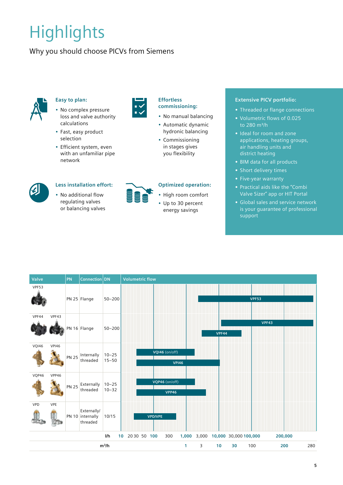# **Highlights**

### Why you should choose PICVs from Siemens



### **Easy to plan:**

- No complex pressure loss and valve authority calculations
- Fast, easy product selection
- Efficient system, even with an unfamiliar pipe network

**Less installation effort:** • No additional flow regulating valves or balancing valves



### **Effortless commissioning:**

- No manual balancing
- Automatic dynamic hydronic balancing
- Commissioning in stages gives you flexibility

### **Optimized operation:**

- High room comfort
- Up to 30 percent energy savings

### **Extensive PICV portfolio:**

- **•** Threaded or flange connections
- **•** Volumetric flows of 0.025 to 280 m<sup>3</sup>/h
- **•** Ideal for room and zone applications, heating groups, air handling units and district heating
- **•** BIM data for all products
- **•** Short delivery times
- **•** Five-year warranty
- **•** Practical aids like the "Combi Valve Sizer" app or HIT Portal
- **•** Global sales and service network is your guarantee of professional support